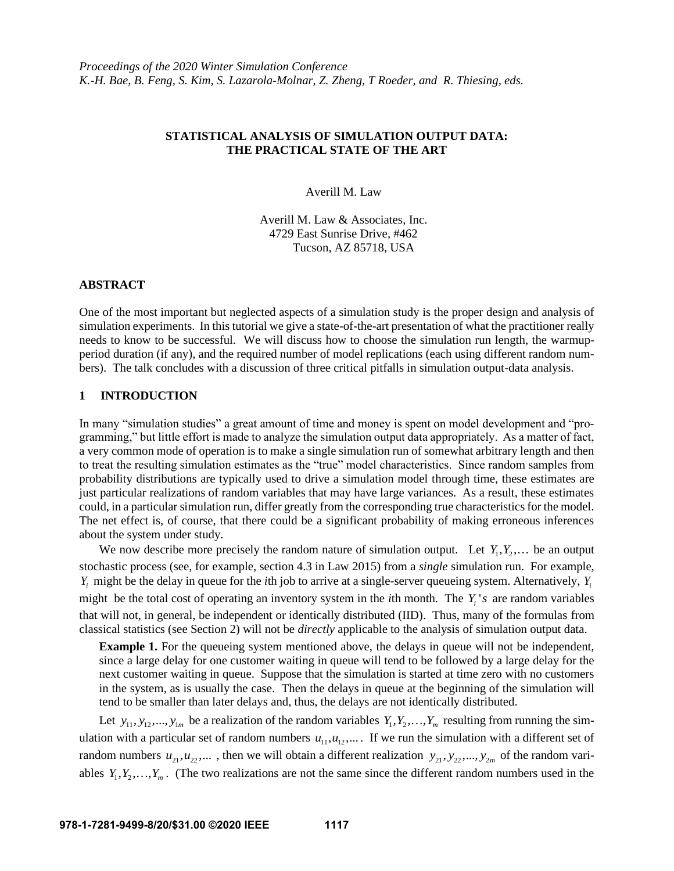# **STATISTICAL ANALYSIS OF SIMULATION OUTPUT DATA: THE PRACTICAL STATE OF THE ART**

Averill M. Law

Averill M. Law & Associates, Inc. 4729 East Sunrise Drive, #462 Tucson, AZ 85718, USA

# **ABSTRACT**

One of the most important but neglected aspects of a simulation study is the proper design and analysis of simulation experiments. In this tutorial we give a state-of-the-art presentation of what the practitioner really needs to know to be successful. We will discuss how to choose the simulation run length, the warmupperiod duration (if any), and the required number of model replications (each using different random numbers). The talk concludes with a discussion of three critical pitfalls in simulation output-data analysis.

# **1 INTRODUCTION**

In many "simulation studies" a great amount of time and money is spent on model development and "programming," but little effort is made to analyze the simulation output data appropriately. As a matter of fact, a very common mode of operation is to make a single simulation run of somewhat arbitrary length and then to treat the resulting simulation estimates as the "true" model characteristics. Since random samples from probability distributions are typically used to drive a simulation model through time, these estimates are just particular realizations of random variables that may have large variances. As a result, these estimates could, in a particular simulation run, differ greatly from the corresponding true characteristics for the model. The net effect is, of course, that there could be a significant probability of making erroneous inferences about the system under study.

We now describe more precisely the random nature of simulation output. Let  $Y_1, Y_2,...$  be an output stochastic process (see, for example, section 4.3 in Law 2015) from a *single* simulation run. For example, *Yi* might be the delay in queue for the *i*th job to arrive at a single-server queueing system. Alternatively, *Yi* might be the total cost of operating an inventory system in the *i*th month. The  $Y_i$ 's are random variables that will not, in general, be independent or identically distributed (IID). Thus, many of the formulas from classical statistics (see Section 2) will not be *directly* applicable to the analysis of simulation output data.

**Example 1.** For the queueing system mentioned above, the delays in queue will not be independent, since a large delay for one customer waiting in queue will tend to be followed by a large delay for the next customer waiting in queue. Suppose that the simulation is started at time zero with no customers in the system, as is usually the case. Then the delays in queue at the beginning of the simulation will tend to be smaller than later delays and, thus, the delays are not identically distributed.

Let  $y_{11}, y_{12},..., y_{1m}$  be a realization of the random variables  $Y_1, Y_2,..., Y_m$  resulting from running the simulation with a particular set of random numbers  $u_{11}, u_{12}, \ldots$ . If we run the simulation with a different set of random numbers  $u_{21}, u_{22}, \dots$ , then we will obtain a different realization  $y_{21}, y_{22}, \dots, y_{2m}$  of the random variables  $Y_1, Y_2, \ldots, Y_m$ . (The two realizations are not the same since the different random numbers used in the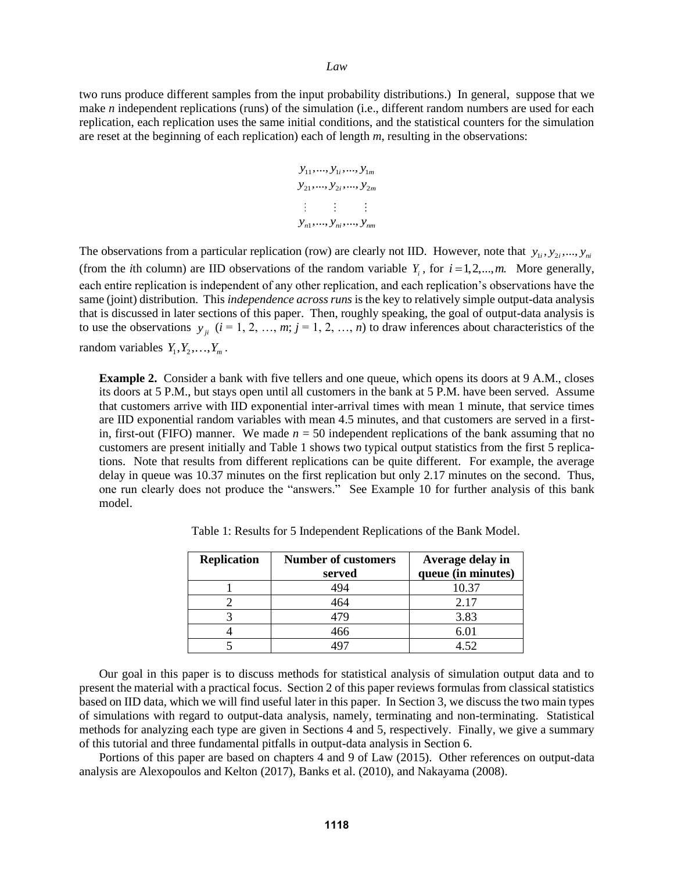two runs produce different samples from the input probability distributions.) In general, suppose that we make *n* independent replications (runs) of the simulation (i.e., different random numbers are used for each replication, each replication uses the same initial conditions, and the statistical counters for the simulation are reset at the beginning of each replication) each of length *m*, resulting in the observations:

$$
y_{11},..., y_{1i},..., y_{1m}
$$
  
\n
$$
y_{21},..., y_{2i},..., y_{2m}
$$
  
\n
$$
\vdots \qquad \vdots
$$
  
\n
$$
y_{n1},..., y_{ni},..., y_{nm}
$$

The observations from a particular replication (row) are clearly not IID. However, note that  $y_{1i}, y_{2i},..., y_{ni}$ (from the *i*th column) are IID observations of the random variable  $Y_i$ , for  $i = 1, 2, \dots, m$ . More generally, each entire replication is independent of any other replication, and each replication's observations have the same (joint) distribution. This *independence across runs* is the key to relatively simple output-data analysis that is discussed in later sections of this paper. Then, roughly speaking, the goal of output-data analysis is to use the observations  $y_{ji}$   $(i = 1, 2, ..., m; j = 1, 2, ..., n)$  to draw inferences about characteristics of the random variables  $Y_1, Y_2, \ldots, Y_m$ .

**Example 2.** Consider a bank with five tellers and one queue, which opens its doors at 9 A.M., closes its doors at 5 P.M., but stays open until all customers in the bank at 5 P.M. have been served. Assume that customers arrive with IID exponential inter-arrival times with mean 1 minute, that service times are IID exponential random variables with mean 4.5 minutes, and that customers are served in a firstin, first-out (FIFO) manner. We made  $n = 50$  independent replications of the bank assuming that no customers are present initially and Table 1 shows two typical output statistics from the first 5 replications. Note that results from different replications can be quite different. For example, the average delay in queue was 10.37 minutes on the first replication but only 2.17 minutes on the second. Thus, one run clearly does not produce the "answers." See Example 10 for further analysis of this bank model.

| <b>Replication</b> | <b>Number of customers</b><br>served | Average delay in<br>queue (in minutes) |
|--------------------|--------------------------------------|----------------------------------------|
|                    | 494                                  | 10.37                                  |
|                    | 464                                  | 2.17                                   |
|                    | 479                                  | 3.83                                   |
|                    | 466                                  | 6.01                                   |
|                    |                                      |                                        |

Table 1: Results for 5 Independent Replications of the Bank Model.

Our goal in this paper is to discuss methods for statistical analysis of simulation output data and to present the material with a practical focus. Section 2 of this paper reviews formulas from classical statistics based on IID data, which we will find useful later in this paper. In Section 3, we discuss the two main types of simulations with regard to output-data analysis, namely, terminating and non-terminating. Statistical methods for analyzing each type are given in Sections 4 and 5, respectively. Finally, we give a summary of this tutorial and three fundamental pitfalls in output-data analysis in Section 6.

Portions of this paper are based on chapters 4 and 9 of Law (2015). Other references on output-data analysis are Alexopoulos and Kelton (2017), Banks et al. (2010), and Nakayama (2008).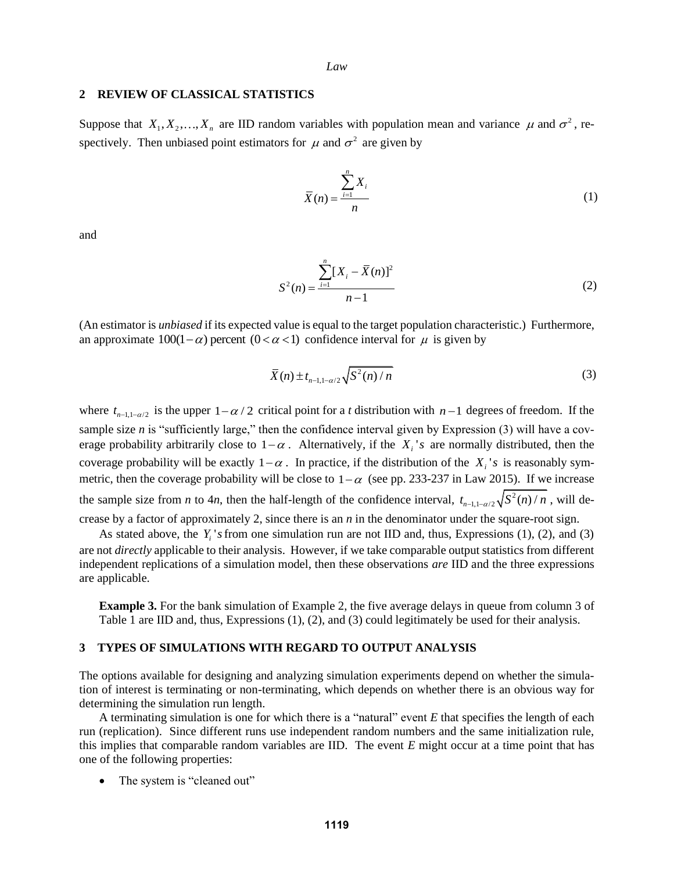## **2 REVIEW OF CLASSICAL STATISTICS**

Suppose that  $X_1, X_2, ..., X_n$  are IID random variables with population mean and variance  $\mu$  and  $\sigma^2$ , respectively. Then unbiased point estimators for  $\mu$  and  $\sigma^2$  are given by

$$
\overline{X}(n) = \frac{\sum_{i=1}^{n} X_i}{n}
$$
\n(1)

and

$$
S^{2}(n) = \frac{\sum_{i=1}^{n} [X_{i} - \overline{X}(n)]^{2}}{n-1}
$$
 (2)

(An estimator is *unbiased* if its expected value is equal to the target population characteristic.) Furthermore, an approximate  $100(1-\alpha)$  percent  $(0 < \alpha < 1)$  confidence interval for  $\mu$  is given by

$$
\overline{X}(n) \pm t_{n-1,1-\alpha/2} \sqrt{S^2(n)/n}
$$
\n<sup>(3)</sup>

where  $t_{n-1,1-\alpha/2}$  is the upper  $1-\alpha/2$  critical point for a *t* distribution with  $n-1$  degrees of freedom. If the sample size *n* is "sufficiently large," then the confidence interval given by Expression (3) will have a coverage probability arbitrarily close to  $1-\alpha$ . Alternatively, if the  $X_i$ 's are normally distributed, then the coverage probability will be exactly  $1-\alpha$ . In practice, if the distribution of the  $X_i$ 's is reasonably symmetric, then the coverage probability will be close to  $1-\alpha$  (see pp. 233-237 in Law 2015). If we increase the sample size from *n* to 4*n*, then the half-length of the confidence interval,  $t_{n-1,1-\alpha/2} \sqrt{S^2(n)/n}$ , will decrease by a factor of approximately 2, since there is an *n* in the denominator under the square-root sign.

As stated above, the  $Y_i$ 's from one simulation run are not IID and, thus, Expressions (1), (2), and (3) are not *directly* applicable to their analysis. However, if we take comparable output statistics from different independent replications of a simulation model, then these observations *are* IID and the three expressions are applicable.

**Example 3.** For the bank simulation of Example 2, the five average delays in queue from column 3 of Table 1 are IID and, thus, Expressions (1), (2), and (3) could legitimately be used for their analysis.

# **3 TYPES OF SIMULATIONS WITH REGARD TO OUTPUT ANALYSIS**

The options available for designing and analyzing simulation experiments depend on whether the simulation of interest is terminating or non-terminating, which depends on whether there is an obvious way for determining the simulation run length.

A terminating simulation is one for which there is a "natural" event *E* that specifies the length of each run (replication). Since different runs use independent random numbers and the same initialization rule, this implies that comparable random variables are IID. The event *E* might occur at a time point that has one of the following properties:

The system is "cleaned out"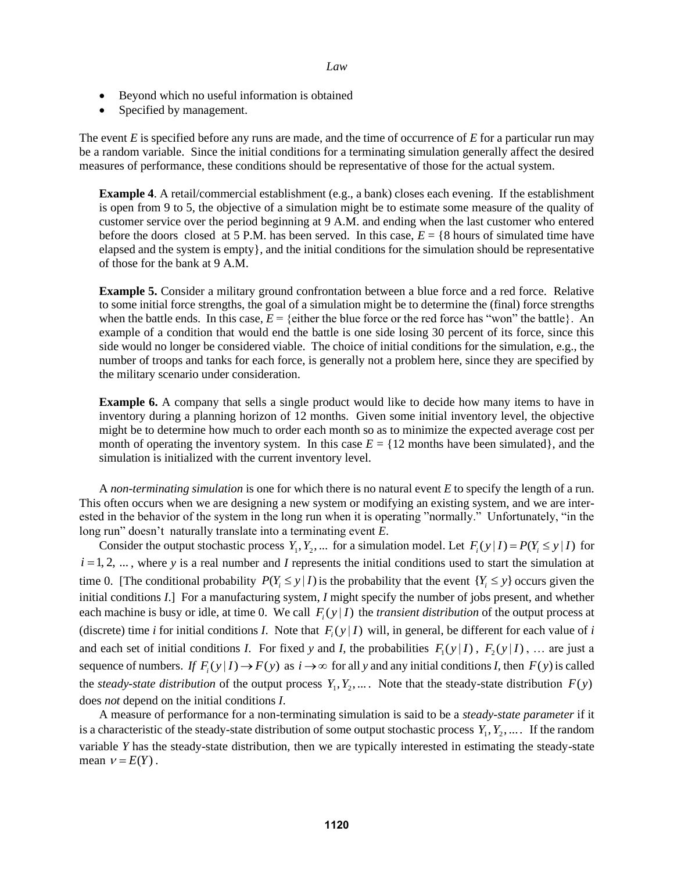- Beyond which no useful information is obtained
- Specified by management.

The event *E* is specified before any runs are made, and the time of occurrence of *E* for a particular run may be a random variable. Since the initial conditions for a terminating simulation generally affect the desired measures of performance, these conditions should be representative of those for the actual system.

**Example 4.** A retail/commercial establishment (e.g., a bank) closes each evening. If the establishment is open from 9 to 5, the objective of a simulation might be to estimate some measure of the quality of customer service over the period beginning at 9 A.M. and ending when the last customer who entered before the doors closed at 5 P.M. has been served. In this case,  $E = \{8 \text{ hours of simulated time have}$ elapsed and the system is empty}, and the initial conditions for the simulation should be representative of those for the bank at 9 A.M.

**Example 5.** Consider a military ground confrontation between a blue force and a red force. Relative to some initial force strengths, the goal of a simulation might be to determine the (final) force strengths when the battle ends. In this case,  $E = \{$  either the blue force or the red force has "won" the battle $\}$ . An example of a condition that would end the battle is one side losing 30 percent of its force, since this side would no longer be considered viable. The choice of initial conditions for the simulation, e.g., the number of troops and tanks for each force, is generally not a problem here, since they are specified by the military scenario under consideration.

**Example 6.** A company that sells a single product would like to decide how many items to have in inventory during a planning horizon of 12 months. Given some initial inventory level, the objective might be to determine how much to order each month so as to minimize the expected average cost per month of operating the inventory system. In this case  $E = \{12 \text{ months have been simulated}\}\,$ , and the simulation is initialized with the current inventory level.

A *non-terminating simulation* is one for which there is no natural event *E* to specify the length of a run. This often occurs when we are designing a new system or modifying an existing system, and we are interested in the behavior of the system in the long run when it is operating "normally." Unfortunately, "in the long run" doesn't naturally translate into a terminating event *E*.

Consider the output stochastic process  $Y_1, Y_2, ...$  for a simulation model. Let  $F_i(y|I) = P(Y_i \le y|I)$  for  $i = 1, 2, \dots$ , where *y* is a real number and *I* represents the initial conditions used to start the simulation at time 0. [The conditional probability  $P(Y_i \leq y | I)$  is the probability that the event  $\{Y_i \leq y\}$  occurs given the initial conditions *I*.] For a manufacturing system, *I* might specify the number of jobs present, and whether each machine is busy or idle, at time 0. We call  $F_i(y|I)$  the *transient distribution* of the output process at (discrete) time *i* for initial conditions *I*. Note that  $F_i(y|I)$  will, in general, be different for each value of *i* and each set of initial conditions *I*. For fixed *y* and *I*, the probabilities  $F_1(y|I)$ ,  $F_2(y|I)$ , ... are just a sequence of numbers. *If*  $F_i(y|I) \to F(y)$  as  $i \to \infty$  for all *y* and any initial conditions *I*, then  $F(y)$  is called the *steady-state distribution* of the output process  $Y_1, Y_2, \ldots$ . Note that the steady-state distribution  $F(y)$ does *not* depend on the initial conditions *I*.

A measure of performance for a non-terminating simulation is said to be a *steady-state parameter* if it is a characteristic of the steady-state distribution of some output stochastic process  $Y_1, Y_2, \ldots$ . If the random variable *Y* has the steady-state distribution, then we are typically interested in estimating the steady-state mean  $v = E(Y)$ .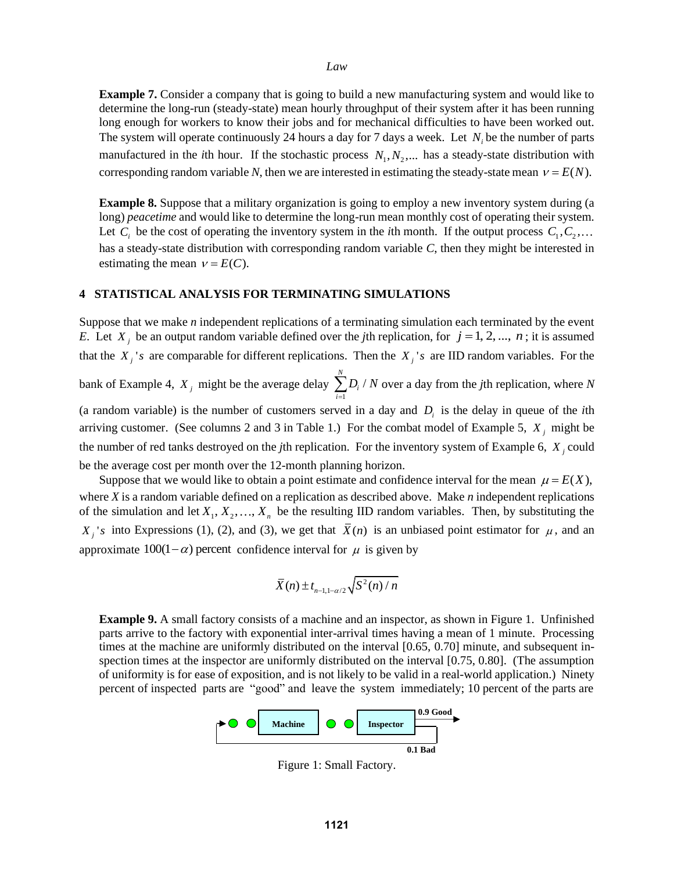**Example 7.** Consider a company that is going to build a new manufacturing system and would like to determine the long-run (steady-state) mean hourly throughput of their system after it has been running long enough for workers to know their jobs and for mechanical difficulties to have been worked out. The system will operate continuously 24 hours a day for 7 days a week. Let  $N_i$  be the number of parts manufactured in the *i*th hour. If the stochastic process  $N_1, N_2, ...$  has a steady-state distribution with corresponding random variable N, then we are interested in estimating the steady-state mean  $v = E(N)$ .

**Example 8.** Suppose that a military organization is going to employ a new inventory system during (a long) *peacetime* and would like to determine the long-run mean monthly cost of operating their system. Let  $C_i$  be the cost of operating the inventory system in the *i*th month. If the output process  $C_1, C_2$ , has a steady-state distribution with corresponding random variable *C*, then they might be interested in estimating the mean  $v = E(C)$ .

### **4 STATISTICAL ANALYSIS FOR TERMINATING SIMULATIONS**

Suppose that we make *n* independent replications of a terminating simulation each terminated by the event *E*. Let  $X_j$  be an output random variable defined over the *j*th replication, for  $j = 1, 2, ..., n$ ; it is assumed that the  $X_j$ 's are comparable for different replications. Then the  $X_j$ 's are IID random variables. For the bank of Example 4,  $X_j$  might be the average delay 1  $\sum\limits_{i=1}^{N}$  $\sum_{i=1}$ <sup> $\nu_i$ </sup>  $D_i$  /  $N$  $\sum_{i=1} D_i / N$  over a day from the *j*th replication, where *N* (a random variable) is the number of customers served in a day and  $D_i$  is the delay in queue of the *i*th arriving customer. (See columns 2 and 3 in Table 1.) For the combat model of Example 5,  $X_j$  might be the number of red tanks destroyed on the *j*th replication. For the inventory system of Example 6, *X j* could be the average cost per month over the 12-month planning horizon.

Suppose that we would like to obtain a point estimate and confidence interval for the mean  $\mu = E(X)$ , where *X* is a random variable defined on a replication as described above. Make *n* independent replications of the simulation and let  $X_1, X_2, ..., X_n$  be the resulting IID random variables. Then, by substituting the  $X_j$ 's into Expressions (1), (2), and (3), we get that  $\overline{X}(n)$  is an unbiased point estimator for  $\mu$ , and an approximate  $100(1-\alpha)$  percent confidence interval for  $\mu$  is given by

$$
\bar{X}(n) \pm t_{n-1,1-\alpha/2} \sqrt{S^2(n)/n}
$$

**Example 9.** A small factory consists of a machine and an inspector, as shown in Figure 1. Unfinished parts arrive to the factory with exponential inter-arrival times having a mean of 1 minute. Processing times at the machine are uniformly distributed on the interval [0.65, 0.70] minute, and subsequent inspection times at the inspector are uniformly distributed on the interval [0.75, 0.80]. (The assumption of uniformity is for ease of exposition, and is not likely to be valid in a real-world application.) Ninety percent of inspected parts are "good" and leave the system immediately; 10 percent of the parts are



Figure 1: Small Factory.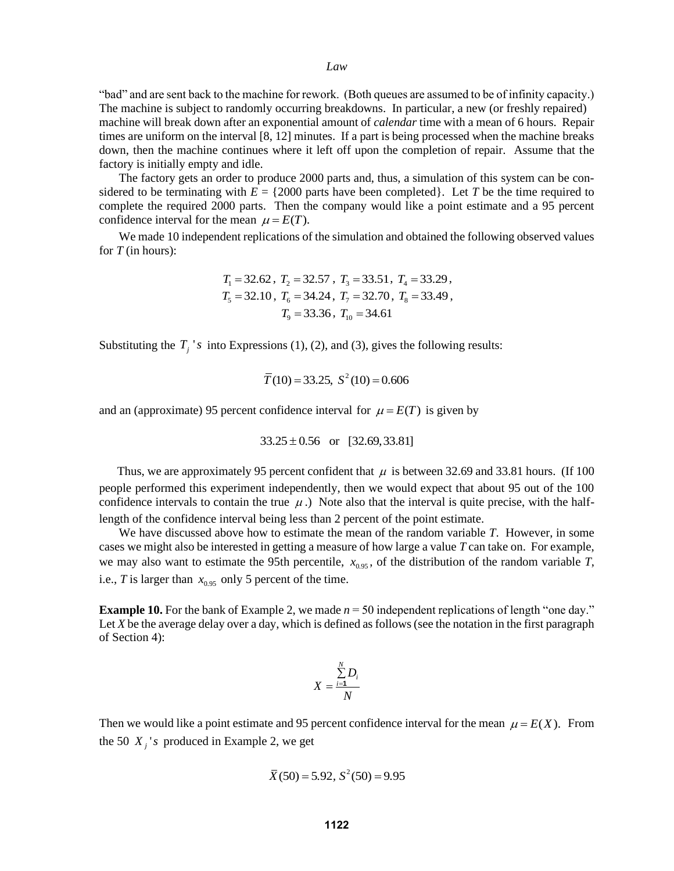"bad" and are sent back to the machine for rework. (Both queues are assumed to be of infinity capacity.) The machine is subject to randomly occurring breakdowns. In particular, a new (or freshly repaired) machine will break down after an exponential amount of *calendar* time with a mean of 6 hours. Repair times are uniform on the interval [8, 12] minutes. If a part is being processed when the machine breaks down, then the machine continues where it left off upon the completion of repair. Assume that the factory is initially empty and idle.

The factory gets an order to produce 2000 parts and, thus, a simulation of this system can be considered to be terminating with  $E = \{2000 \text{ parts have been completed}\}\.$  Let *T* be the time required to complete the required 2000 parts. Then the company would like a point estimate and a 95 percent confidence interval for the mean  $\mu = E(T)$ .

We made 10 independent replications of the simulation and obtained the following observed values for *T* (in hours):

$$
T_1 = 32.62
$$
,  $T_2 = 32.57$ ,  $T_3 = 33.51$ ,  $T_4 = 33.29$ ,  
\n $T_5 = 32.10$ ,  $T_6 = 34.24$ ,  $T_7 = 32.70$ ,  $T_8 = 33.49$ ,  
\n $T_9 = 33.36$ ,  $T_{10} = 34.61$ 

Substituting the  $T_j$ 's into Expressions (1), (2), and (3), gives the following results:

$$
\overline{T}(10) = 33.25, S^2(10) = 0.606
$$

and an (approximate) 95 percent confidence interval for  $\mu = E(T)$  is given by

$$
33.25 \pm 0.56 \text{ or } [32.69, 33.81]
$$

Thus, we are approximately 95 percent confident that  $\mu$  is between 32.69 and 33.81 hours. (If 100 people performed this experiment independently, then we would expect that about 95 out of the 100 confidence intervals to contain the true  $\mu$ .) Note also that the interval is quite precise, with the halflength of the confidence interval being less than 2 percent of the point estimate.

We have discussed above how to estimate the mean of the random variable *T*. However, in some cases we might also be interested in getting a measure of how large a value *T* can take on. For example, we may also want to estimate the 95th percentile,  $x_{0.95}$ , of the distribution of the random variable *T*, i.e., *T* is larger than  $x_{0.95}$  only 5 percent of the time.

**Example 10.** For the bank of Example 2, we made  $n = 50$  independent replications of length "one day." Let *X* be the average delay over a day, which is defined as follows (see the notation in the first paragraph of Section 4):

$$
X = \frac{\sum_{i=1}^{N} D_i}{N}
$$

Then we would like a point estimate and 95 percent confidence interval for the mean  $\mu = E(X)$ . From the 50  $X_i$ 's produced in Example 2, we get

$$
\overline{X}(50) = 5.92, S^2(50) = 9.95
$$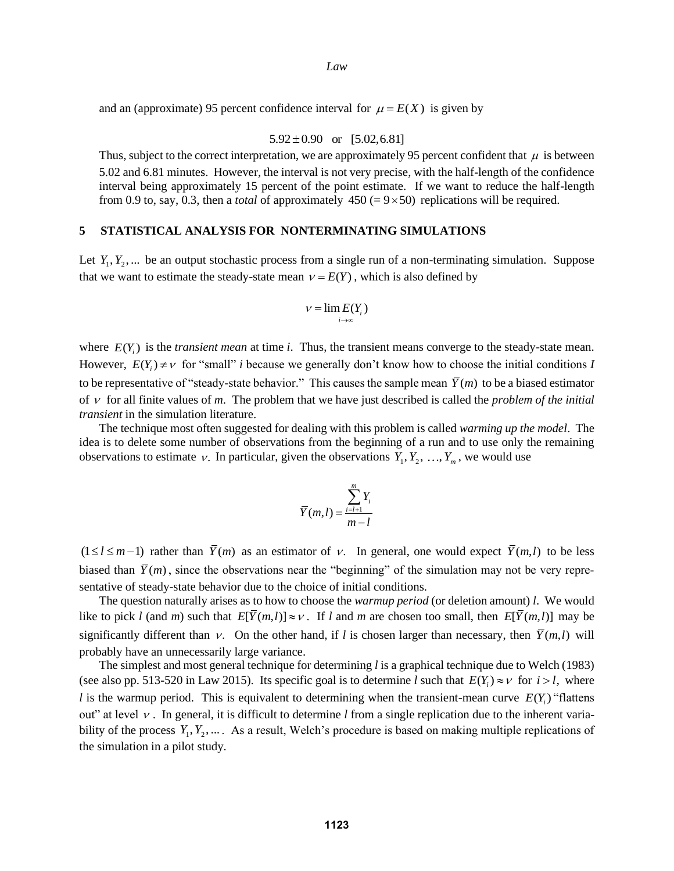and an (approximate) 95 percent confidence interval for  $\mu = E(X)$  is given by

 $5.92 \pm 0.90$  or  $[5.02, 6.81]$ 

Thus, subject to the correct interpretation, we are approximately 95 percent confident that  $\mu$  is between 5.02 and 6.81 minutes. However, the interval is not very precise, with the half-length of the confidence interval being approximately 15 percent of the point estimate. If we want to reduce the half-length from 0.9 to, say, 0.3, then a *total* of approximately  $450 (= 9 \times 50)$  replications will be required.

# **5 STATISTICAL ANALYSIS FOR NONTERMINATING SIMULATIONS**

Let  $Y_1, Y_2, \ldots$  be an output stochastic process from a single run of a non-terminating simulation. Suppose that we want to estimate the steady-state mean  $v = E(Y)$ , which is also defined by

$$
v = \lim_{i \to \infty} E(Y_i)
$$

where  $E(Y_i)$  is the *transient mean* at time *i*. Thus, the transient means converge to the steady-state mean. However,  $E(Y_i) \neq v$  for "small" *i* because we generally don't know how to choose the initial conditions *I* to be representative of "steady-state behavior." This causes the sample mean  $\overline{Y}(m)$  to be a biased estimator of  $\nu$  for all finite values of  $m$ . The problem that we have just described is called the *problem of the initial transient* in the simulation literature.

The technique most often suggested for dealing with this problem is called *warming up the model*. The idea is to delete some number of observations from the beginning of a run and to use only the remaining observations to estimate v. In particular, given the observations  $Y_1, Y_2, ..., Y_m$ , we would use

$$
\overline{Y}(m,l) = \frac{\sum_{i=l+1}^{m} Y_i}{m-l}
$$

 $(1 \le l \le m-1)$  rather than  $\overline{Y}(m)$  as an estimator of v. In general, one would expect  $\overline{Y}(m,l)$  to be less biased than  $\bar{Y}(m)$ , since the observations near the "beginning" of the simulation may not be very representative of steady-state behavior due to the choice of initial conditions.

The question naturally arises as to how to choose the *warmup period* (or deletion amount) *l*. We would like to pick *l* (and *m*) such that  $E[\bar{Y}(m,l)] \approx v$ . If *l* and *m* are chosen too small, then  $E[\bar{Y}(m,l)]$  may be significantly different than v. On the other hand, if *l* is chosen larger than necessary, then  $\overline{Y}(m,l)$  will probably have an unnecessarily large variance.

The simplest and most general technique for determining *l* is a graphical technique due to Welch (1983) (see also pp. 513-520 in Law 2015). Its specific goal is to determine *l* such that  $E(Y_i) \approx v$  for  $i > l$ , where *l* is the warmup period. This is equivalent to determining when the transient-mean curve  $E(Y_i)$  "flattens" out" at level  $\nu$ . In general, it is difficult to determine  $l$  from a single replication due to the inherent variability of the process  $Y_1, Y_2, \ldots$ . As a result, Welch's procedure is based on making multiple replications of the simulation in a pilot study.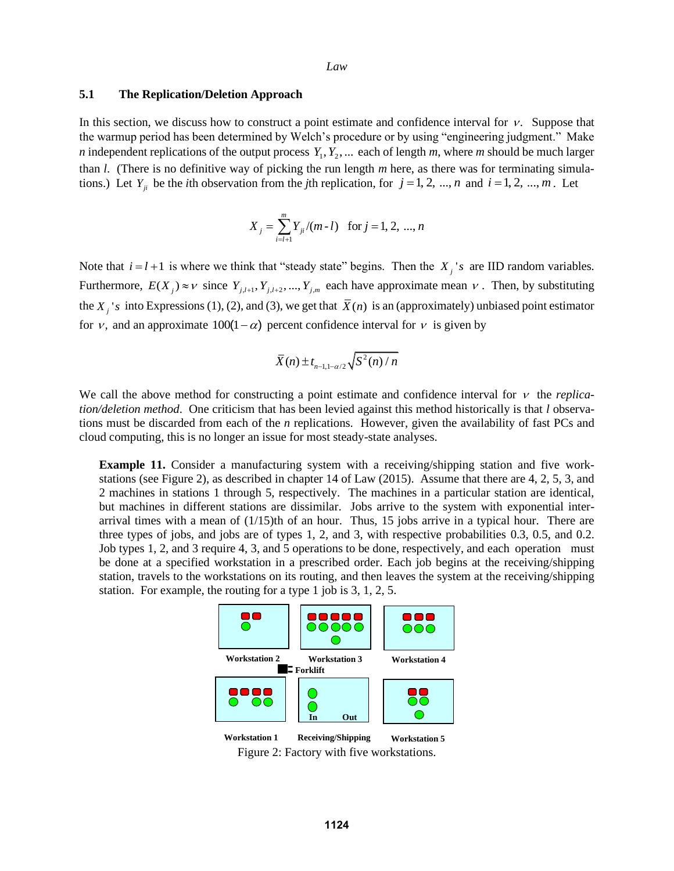#### **5.1 The Replication/Deletion Approach**

In this section, we discuss how to construct a point estimate and confidence interval for  $\nu$ . Suppose that the warmup period has been determined by Welch's procedure or by using "engineering judgment." Make *n* independent replications of the output process  $Y_1, Y_2, \ldots$  each of length *m*, where *m* should be much larger than *l*. (There is no definitive way of picking the run length *m* here, as there was for terminating simulations.) Let  $Y_{ji}$  be the *i*th observation from the *j*th replication, for  $j = 1, 2, ..., n$  and  $i = 1, 2, ..., m$ . Let

$$
X_j = \sum_{i=l+1}^{m} Y_{ji} / (m-l) \text{ for } j = 1, 2, ..., n
$$

Note that  $i = l + 1$  is where we think that "steady state" begins. Then the  $X_j$ 's are IID random variables. Furthermore,  $E(X_j) \approx v$  since  $Y_{j,l+1}, Y_{j,l+2}, ..., Y_{j,m}$  each have approximate mean v. Then, by substituting the  $X_j$ 's into Expressions (1), (2), and (3), we get that  $\bar{X}(n)$  is an (approximately) unbiased point estimator for v, and an approximate  $100(1-\alpha)$  percent confidence interval for v is given by

$$
\bar{X}(n) \pm t_{n-1,1-\alpha/2} \sqrt{S^2(n)/n}
$$

We call the above method for constructing a point estimate and confidence interval for  $\nu$  the *replication/deletion method*. One criticism that has been levied against this method historically is that *l* observations must be discarded from each of the *n* replications. However, given the availability of fast PCs and cloud computing, this is no longer an issue for most steady-state analyses.

**Example 11.** Consider a manufacturing system with a receiving/shipping station and five workstations (see Figure 2), as described in chapter 14 of Law (2015). Assume that there are 4, 2, 5, 3, and 2 machines in stations 1 through 5, respectively. The machines in a particular station are identical, but machines in different stations are dissimilar. Jobs arrive to the system with exponential interarrival times with a mean of (1/15)th of an hour. Thus, 15 jobs arrive in a typical hour. There are three types of jobs, and jobs are of types 1, 2, and 3, with respective probabilities 0.3, 0.5, and 0.2. Job types 1, 2, and 3 require 4, 3, and 5 operations to be done, respectively, and each operation must be done at a specified workstation in a prescribed order. Each job begins at the receiving/shipping station, travels to the workstations on its routing, and then leaves the system at the receiving/shipping station. For example, the routing for a type 1 job is 3, 1, 2, 5.



Figure 2: Factory with five workstations. **Workstation 1 Receiving/Shipping Workstation 5**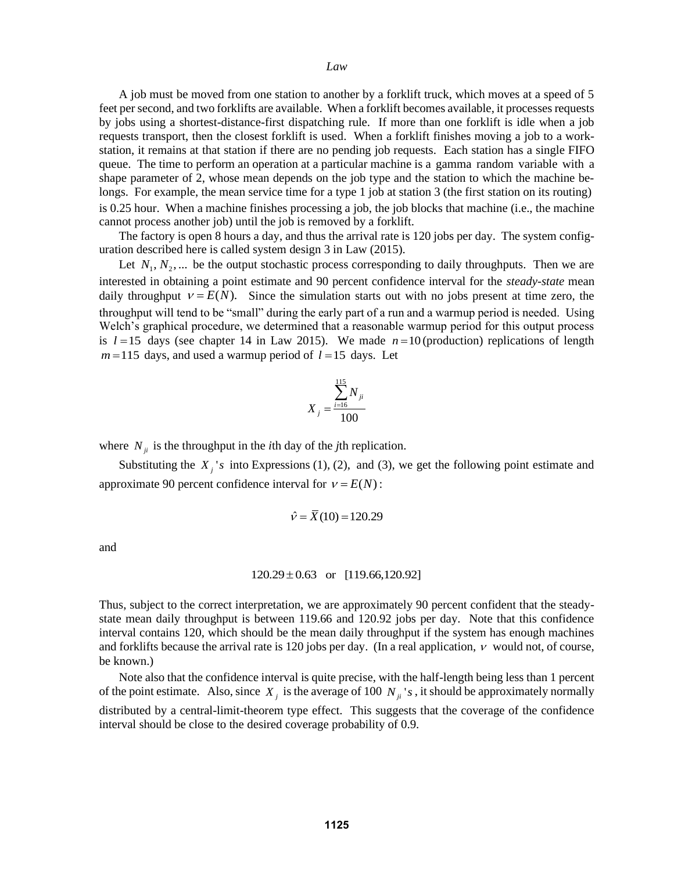A job must be moved from one station to another by a forklift truck, which moves at a speed of 5 feet per second, and two forklifts are available. When a forklift becomes available, it processes requests by jobs using a shortest-distance-first dispatching rule. If more than one forklift is idle when a job requests transport, then the closest forklift is used. When a forklift finishes moving a job to a workstation, it remains at that station if there are no pending job requests. Each station has a single FIFO queue. The time to perform an operation at a particular machine is a gamma random variable with a shape parameter of 2, whose mean depends on the job type and the station to which the machine belongs. For example, the mean service time for a type 1 job at station 3 (the first station on its routing) is 0.25 hour. When a machine finishes processing a job, the job blocks that machine (i.e., the machine cannot process another job) until the job is removed by a forklift.

The factory is open 8 hours a day, and thus the arrival rate is 120 jobs per day. The system configuration described here is called system design 3 in Law (2015).

Let  $N_1, N_2, \ldots$  be the output stochastic process corresponding to daily throughputs. Then we are interested in obtaining a point estimate and 90 percent confidence interval for the *steady-state* mean daily throughput  $v = E(N)$ . Since the simulation starts out with no jobs present at time zero, the throughput will tend to be "small" during the early part of a run and a warmup period is needed. Using Welch's graphical procedure, we determined that a reasonable warmup period for this output process is  $l = 15$  days (see chapter 14 in Law 2015). We made  $n = 10$  (production) replications of length  $m = 115$  days, and used a warmup period of  $l = 15$  days. Let

$$
X_{j} = \frac{\sum_{i=16}^{115} N_{ji}}{100}
$$

where  $N_{ji}$  is the throughput in the *i*th day of the *j*th replication.

Substituting the  $X_j$ 's into Expressions (1), (2), and (3), we get the following point estimate and approximate 90 percent confidence interval for  $v = E(N)$ :

$$
\hat{v} = \overline{X}(10) = 120.29
$$

and

#### $120.29 \pm 0.63$  or [119.66,120.92]

Thus, subject to the correct interpretation, we are approximately 90 percent confident that the steadystate mean daily throughput is between 119.66 and 120.92 jobs per day. Note that this confidence interval contains 120, which should be the mean daily throughput if the system has enough machines and forklifts because the arrival rate is 120 jobs per day. (In a real application,  $\nu$  would not, of course, be known.)

 Note also that the confidence interval is quite precise, with the half-length being less than 1 percent of the point estimate. Also, since  $X_j$  is the average of 100  $N_{ji}$ 's, it should be approximately normally distributed by a central-limit-theorem type effect. This suggests that the coverage of the confidence interval should be close to the desired coverage probability of 0.9.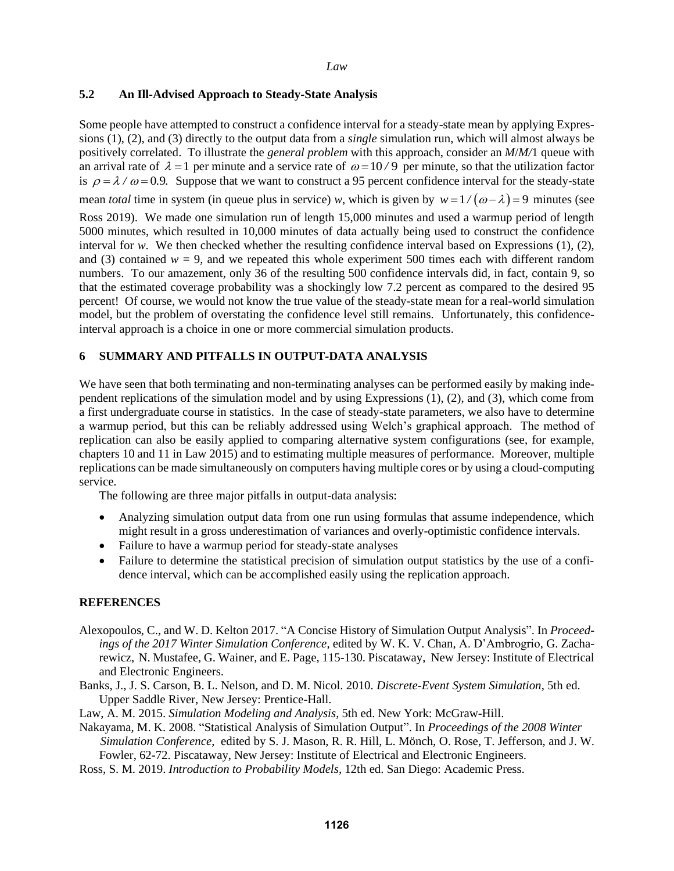# **5.2 An Ill-Advised Approach to Steady-State Analysis**

Some people have attempted to construct a confidence interval for a steady-state mean by applying Expressions (1), (2), and (3) directly to the output data from a *single* simulation run, which will almost always be positively correlated. To illustrate the *general problem* with this approach, consider an *M*/*M/*1 queue with an arrival rate of  $\lambda = 1$  per minute and a service rate of  $\omega = 10/9$  per minute, so that the utilization factor is  $\rho = \lambda / \omega = 0.9$ . Suppose that we want to construct a 95 percent confidence interval for the steady-state mean *total* time in system (in queue plus in service) *w*, which is given by  $w = 1/(\omega - \lambda) = 9$  minutes (see Ross 2019). We made one simulation run of length 15,000 minutes and used a warmup period of length 5000 minutes, which resulted in 10,000 minutes of data actually being used to construct the confidence interval for *w*. We then checked whether the resulting confidence interval based on Expressions  $(1)$ ,  $(2)$ , and (3) contained  $w = 9$ , and we repeated this whole experiment 500 times each with different random numbers. To our amazement, only 36 of the resulting 500 confidence intervals did, in fact, contain 9, so that the estimated coverage probability was a shockingly low 7.2 percent as compared to the desired 95 percent! Of course, we would not know the true value of the steady-state mean for a real-world simulation model, but the problem of overstating the confidence level still remains. Unfortunately, this confidenceinterval approach is a choice in one or more commercial simulation products.

# **6 SUMMARY AND PITFALLS IN OUTPUT-DATA ANALYSIS**

We have seen that both terminating and non-terminating analyses can be performed easily by making independent replications of the simulation model and by using Expressions (1), (2), and (3), which come from a first undergraduate course in statistics. In the case of steady-state parameters, we also have to determine a warmup period, but this can be reliably addressed using Welch's graphical approach. The method of replication can also be easily applied to comparing alternative system configurations (see, for example, chapters 10 and 11 in Law 2015) and to estimating multiple measures of performance. Moreover, multiple replications can be made simultaneously on computers having multiple cores or by using a cloud-computing service.

The following are three major pitfalls in output-data analysis:

- Analyzing simulation output data from one run using formulas that assume independence, which might result in a gross underestimation of variances and overly-optimistic confidence intervals.
- Failure to have a warmup period for steady-state analyses
- Failure to determine the statistical precision of simulation output statistics by the use of a confidence interval, which can be accomplished easily using the replication approach.

# **REFERENCES**

- Alexopoulos, C., and W. D. Kelton 2017. "A Concise History of Simulation Output Analysis". In *Proceedings of the 2017 Winter Simulation Conference*, edited by W. K. V. Chan, A. D'Ambrogrio, G. Zacharewicz, N. Mustafee, G. Wainer, and E. Page, 115-130. Piscataway, New Jersey: Institute of Electrical and Electronic Engineers.
- Banks, J., J. S. Carson, B. L. Nelson, and D. M. Nicol. 2010. *Discrete-Event System Simulation*, 5th ed. Upper Saddle River, New Jersey: Prentice-Hall.
- Law, A. M. 2015. *Simulation Modeling and Analysis*, 5th ed. New York: McGraw-Hill.
- Nakayama, M. K. 2008. "Statistical Analysis of Simulation Output". In *Proceedings of the 2008 Winter Simulation Conference*, edited by S. J. Mason, R. R. Hill, L. Mönch, O. Rose, T. Jefferson, and J. W. Fowler, 62-72. Piscataway, New Jersey: Institute of Electrical and Electronic Engineers.
- Ross, S. M. 2019. *Introduction to Probability Models*, 12th ed. San Diego: Academic Press.